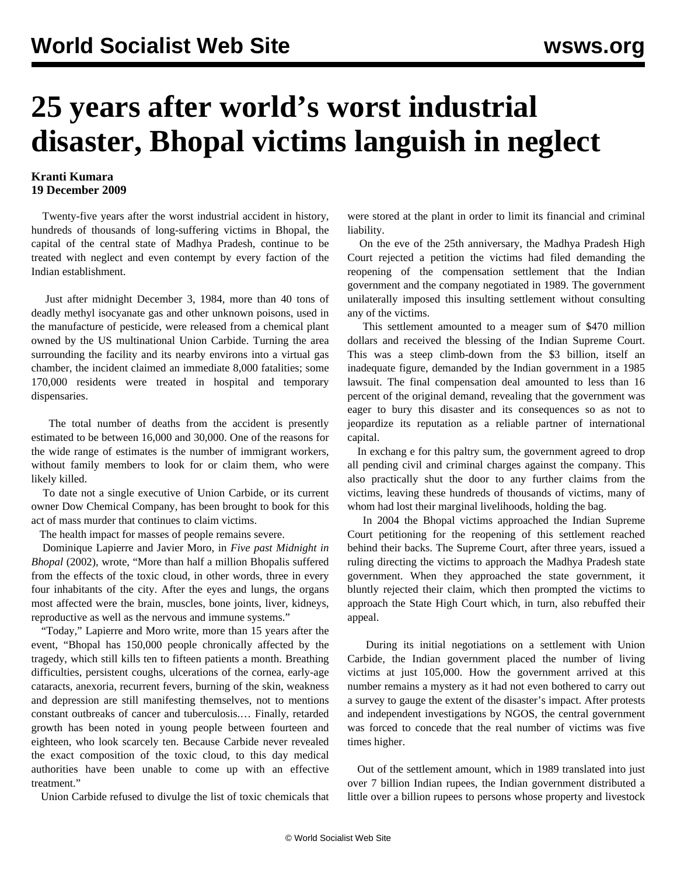## **25 years after world's worst industrial disaster, Bhopal victims languish in neglect**

## **Kranti Kumara 19 December 2009**

 Twenty-five years after the worst industrial accident in history, hundreds of thousands of long-suffering victims in Bhopal, the capital of the central state of Madhya Pradesh, continue to be treated with neglect and even contempt by every faction of the Indian establishment.

 Just after midnight December 3, 1984, more than 40 tons of deadly methyl isocyanate gas and other unknown poisons, used in the manufacture of pesticide, were released from a chemical plant owned by the US multinational Union Carbide. Turning the area surrounding the facility and its nearby environs into a virtual gas chamber, the incident claimed an immediate 8,000 fatalities; some 170,000 residents were treated in hospital and temporary dispensaries.

 The total number of deaths from the accident is presently estimated to be between 16,000 and 30,000. One of the reasons for the wide range of estimates is the number of immigrant workers, without family members to look for or claim them, who were likely killed.

 To date not a single executive of Union Carbide, or its current owner Dow Chemical Company, has been brought to book for this act of mass murder that continues to claim victims.

The health impact for masses of people remains severe.

 Dominique Lapierre and Javier Moro, in *Five past Midnight in Bhopal* (2002), wrote, "More than half a million Bhopalis suffered from the effects of the toxic cloud, in other words, three in every four inhabitants of the city. After the eyes and lungs, the organs most affected were the brain, muscles, bone joints, liver, kidneys, reproductive as well as the nervous and immune systems."

 "Today," Lapierre and Moro write, more than 15 years after the event, "Bhopal has 150,000 people chronically affected by the tragedy, which still kills ten to fifteen patients a month. Breathing difficulties, persistent coughs, ulcerations of the cornea, early-age cataracts, anexoria, recurrent fevers, burning of the skin, weakness and depression are still manifesting themselves, not to mentions constant outbreaks of cancer and tuberculosis.… Finally, retarded growth has been noted in young people between fourteen and eighteen, who look scarcely ten. Because Carbide never revealed the exact composition of the toxic cloud, to this day medical authorities have been unable to come up with an effective treatment."

Union Carbide refused to divulge the list of toxic chemicals that

were stored at the plant in order to limit its financial and criminal liability.

 On the eve of the 25th anniversary, the Madhya Pradesh High Court rejected a petition the victims had filed demanding the reopening of the compensation settlement that the Indian government and the company negotiated in 1989. The government unilaterally imposed this insulting settlement without consulting any of the victims.

 This settlement amounted to a meager sum of \$470 million dollars and received the blessing of the Indian Supreme Court. This was a steep climb-down from the \$3 billion, itself an inadequate figure, demanded by the Indian government in a 1985 lawsuit. The final compensation deal amounted to less than 16 percent of the original demand, revealing that the government was eager to bury this disaster and its consequences so as not to jeopardize its reputation as a reliable partner of international capital.

 In exchang e for this paltry sum, the government agreed to drop all pending civil and criminal charges against the company. This also practically shut the door to any further claims from the victims, leaving these hundreds of thousands of victims, many of whom had lost their marginal livelihoods, holding the bag.

 In 2004 the Bhopal victims approached the Indian Supreme Court petitioning for the reopening of this settlement reached behind their backs. The Supreme Court, after three years, issued a ruling directing the victims to approach the Madhya Pradesh state government. When they approached the state government, it bluntly rejected their claim, which then prompted the victims to approach the State High Court which, in turn, also rebuffed their appeal.

 During its initial negotiations on a settlement with Union Carbide, the Indian government placed the number of living victims at just 105,000. How the government arrived at this number remains a mystery as it had not even bothered to carry out a survey to gauge the extent of the disaster's impact. After protests and independent investigations by NGOS, the central government was forced to concede that the real number of victims was five times higher.

 Out of the settlement amount, which in 1989 translated into just over 7 billion Indian rupees, the Indian government distributed a little over a billion rupees to persons whose property and livestock